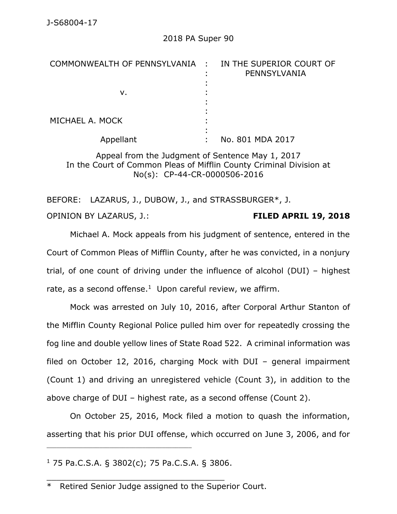| COMMONWEALTH OF PENNSYLVANIA : | IN THE SUPERIOR COURT OF<br>PENNSYLVANIA |
|--------------------------------|------------------------------------------|
|                                |                                          |
| ν.                             |                                          |
|                                |                                          |
|                                |                                          |
| MICHAEL A. MOCK                |                                          |
|                                |                                          |
| Appellant                      | No. 801 MDA 2017                         |

Appeal from the Judgment of Sentence May 1, 2017 In the Court of Common Pleas of Mifflin County Criminal Division at No(s): CP-44-CR-0000506-2016

BEFORE: LAZARUS, J., DUBOW, J., and STRASSBURGER\*, J. OPINION BY LAZARUS, J.: **FILED APRIL 19, 2018**

Michael A. Mock appeals from his judgment of sentence, entered in the Court of Common Pleas of Mifflin County, after he was convicted, in a nonjury trial, of one count of driving under the influence of alcohol (DUI) – highest rate, as a second offense. $1$  Upon careful review, we affirm.

Mock was arrested on July 10, 2016, after Corporal Arthur Stanton of the Mifflin County Regional Police pulled him over for repeatedly crossing the fog line and double yellow lines of State Road 522. A criminal information was filed on October 12, 2016, charging Mock with DUI – general impairment (Count 1) and driving an unregistered vehicle (Count 3), in addition to the above charge of DUI – highest rate, as a second offense (Count 2).

On October 25, 2016, Mock filed a motion to quash the information, asserting that his prior DUI offense, which occurred on June 3, 2006, and for

 $1$  75 Pa.C.S.A. § 3802(c); 75 Pa.C.S.A. § 3806.

\_\_\_\_\_\_\_\_\_\_\_\_\_\_\_\_\_\_\_\_\_\_\_\_\_\_\_\_\_\_\_\_\_\_\_\_

\_\_\_\_\_\_\_\_\_\_\_\_\_\_\_\_\_\_\_\_\_\_\_\_\_\_\_\_\_\_\_\_\_\_\_\_\_\_\_\_\_\_\_\_

<sup>\*</sup> Retired Senior Judge assigned to the Superior Court.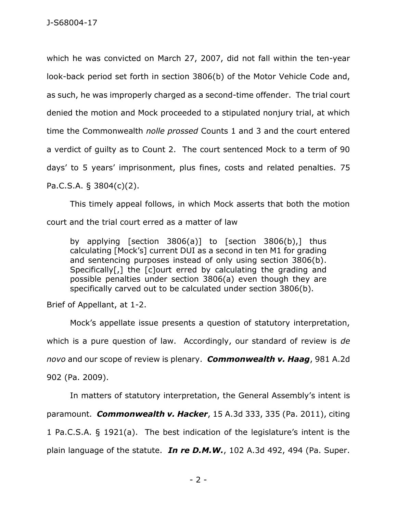which he was convicted on March 27, 2007, did not fall within the ten-year look-back period set forth in section 3806(b) of the Motor Vehicle Code and, as such, he was improperly charged as a second-time offender. The trial court denied the motion and Mock proceeded to a stipulated nonjury trial, at which time the Commonwealth *nolle prossed* Counts 1 and 3 and the court entered a verdict of guilty as to Count 2. The court sentenced Mock to a term of 90 days' to 5 years' imprisonment, plus fines, costs and related penalties. 75 Pa.C.S.A. § 3804(c)(2).

This timely appeal follows, in which Mock asserts that both the motion court and the trial court erred as a matter of law

by applying [section 3806(a)] to [section 3806(b),] thus calculating [Mock's] current DUI as a second in ten M1 for grading and sentencing purposes instead of only using section 3806(b). Specifically[,] the [c]ourt erred by calculating the grading and possible penalties under section 3806(a) even though they are specifically carved out to be calculated under section 3806(b).

Brief of Appellant, at 1-2.

Mock's appellate issue presents a question of statutory interpretation, which is a pure question of law. Accordingly, our standard of review is *de novo* and our scope of review is plenary. *Commonwealth v. Haag*, 981 A.2d 902 (Pa. 2009).

In matters of statutory interpretation, the General Assembly's intent is paramount. *Commonwealth v. Hacker*, 15 A.3d 333, 335 (Pa. 2011), citing 1 Pa.C.S.A. § 1921(a). The best indication of the legislature's intent is the plain language of the statute. *In re D.M.W.*, 102 A.3d 492, 494 (Pa. Super.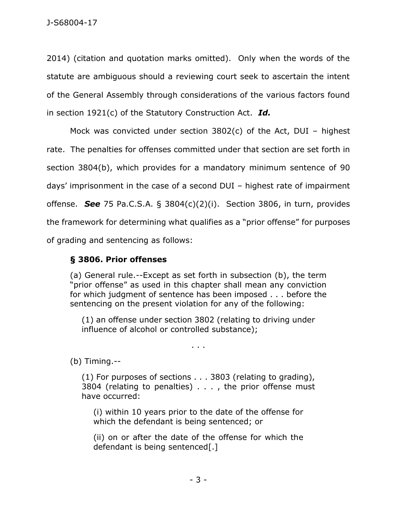2014) (citation and quotation marks omitted). Only when the words of the statute are ambiguous should a reviewing court seek to ascertain the intent of the General Assembly through considerations of the various factors found in section 1921(c) of the Statutory Construction Act. *Id.* 

Mock was convicted under section 3802(c) of the Act, DUI – highest rate. The penalties for offenses committed under that section are set forth in section 3804(b), which provides for a mandatory minimum sentence of 90 days' imprisonment in the case of a second DUI – highest rate of impairment offense. *See* 75 Pa.C.S.A. § 3804(c)(2)(i). Section 3806, in turn, provides the framework for determining what qualifies as a "prior offense" for purposes of grading and sentencing as follows:

## **§ 3806. Prior offenses**

(a) General rule.--Except as set forth in subsection (b), the term "prior offense" as used in this chapter shall mean any conviction for which judgment of sentence has been imposed . . . before the sentencing on the present violation for any of the following:

(1) an offense under section 3802 (relating to driving under influence of alcohol or controlled substance);

. . .

(b) Timing.--

(1) For purposes of sections . . . 3803 (relating to grading), 3804 (relating to penalties) . . . , the prior offense must have occurred:

(i) within 10 years prior to the date of the offense for which the defendant is being sentenced; or

(ii) on or after the date of the offense for which the defendant is being sentenced[.]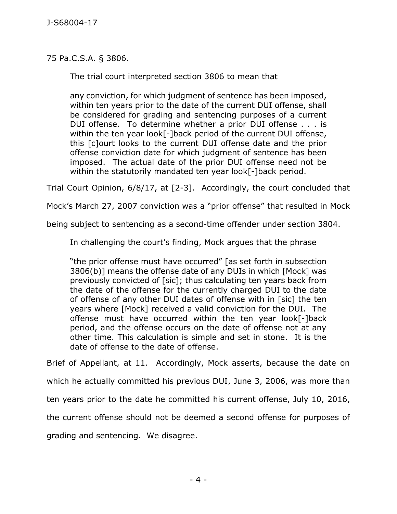75 Pa.C.S.A. § 3806.

The trial court interpreted section 3806 to mean that

any conviction, for which judgment of sentence has been imposed, within ten years prior to the date of the current DUI offense, shall be considered for grading and sentencing purposes of a current DUI offense. To determine whether a prior DUI offense . . . is within the ten year look[-]back period of the current DUI offense, this [c]ourt looks to the current DUI offense date and the prior offense conviction date for which judgment of sentence has been imposed. The actual date of the prior DUI offense need not be within the statutorily mandated ten year look[-]back period.

Trial Court Opinion, 6/8/17, at [2-3]. Accordingly, the court concluded that

Mock's March 27, 2007 conviction was a "prior offense" that resulted in Mock

being subject to sentencing as a second-time offender under section 3804.

In challenging the court's finding, Mock argues that the phrase

"the prior offense must have occurred" [as set forth in subsection 3806(b)] means the offense date of any DUIs in which [Mock] was previously convicted of [sic]; thus calculating ten years back from the date of the offense for the currently charged DUI to the date of offense of any other DUI dates of offense with in [sic] the ten years where [Mock] received a valid conviction for the DUI. The offense must have occurred within the ten year look[-]back period, and the offense occurs on the date of offense not at any other time. This calculation is simple and set in stone. It is the date of offense to the date of offense.

Brief of Appellant, at 11. Accordingly, Mock asserts, because the date on

which he actually committed his previous DUI, June 3, 2006, was more than

ten years prior to the date he committed his current offense, July 10, 2016,

the current offense should not be deemed a second offense for purposes of

grading and sentencing. We disagree.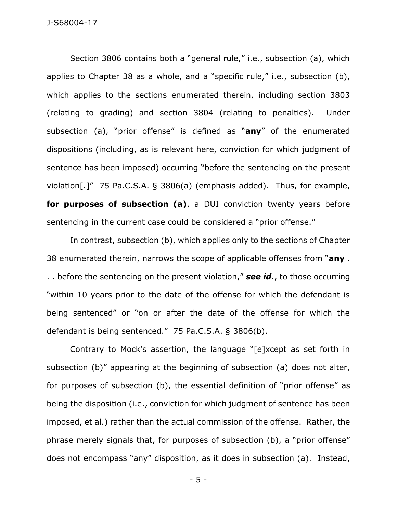Section 3806 contains both a "general rule," i.e., subsection (a), which applies to Chapter 38 as a whole, and a "specific rule," i.e., subsection (b), which applies to the sections enumerated therein, including section 3803 (relating to grading) and section 3804 (relating to penalties). Under subsection (a), "prior offense" is defined as "**any**" of the enumerated dispositions (including, as is relevant here, conviction for which judgment of sentence has been imposed) occurring "before the sentencing on the present violation[.]" 75 Pa.C.S.A. § 3806(a) (emphasis added). Thus, for example, **for purposes of subsection (a)**, a DUI conviction twenty years before sentencing in the current case could be considered a "prior offense."

In contrast, subsection (b), which applies only to the sections of Chapter 38 enumerated therein, narrows the scope of applicable offenses from "**any** . . . before the sentencing on the present violation," *see id.*, to those occurring "within 10 years prior to the date of the offense for which the defendant is being sentenced" or "on or after the date of the offense for which the defendant is being sentenced." 75 Pa.C.S.A. § 3806(b).

Contrary to Mock's assertion, the language "[e]xcept as set forth in subsection (b)" appearing at the beginning of subsection (a) does not alter, for purposes of subsection (b), the essential definition of "prior offense" as being the disposition (i.e., conviction for which judgment of sentence has been imposed, et al.) rather than the actual commission of the offense. Rather, the phrase merely signals that, for purposes of subsection (b), a "prior offense" does not encompass "any" disposition, as it does in subsection (a). Instead,

- 5 -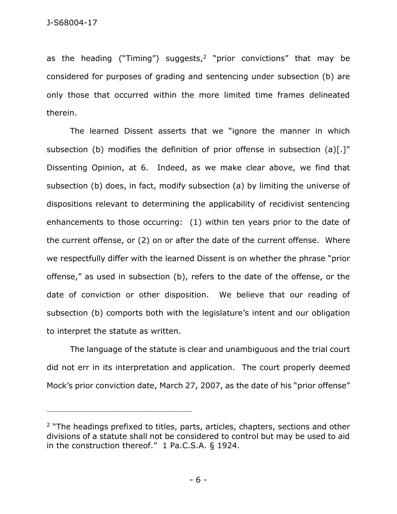as the heading ("Timing") suggests,<sup>2</sup> "prior convictions" that may be considered for purposes of grading and sentencing under subsection (b) are only those that occurred within the more limited time frames delineated therein.

The learned Dissent asserts that we "ignore the manner in which subsection (b) modifies the definition of prior offense in subsection (a)[.]" Dissenting Opinion, at 6. Indeed, as we make clear above, we find that subsection (b) does, in fact, modify subsection (a) by limiting the universe of dispositions relevant to determining the applicability of recidivist sentencing enhancements to those occurring: (1) within ten years prior to the date of the current offense, or (2) on or after the date of the current offense. Where we respectfully differ with the learned Dissent is on whether the phrase "prior offense," as used in subsection (b), refers to the date of the offense, or the date of conviction or other disposition. We believe that our reading of subsection (b) comports both with the legislature's intent and our obligation to interpret the statute as written.

The language of the statute is clear and unambiguous and the trial court did not err in its interpretation and application. The court properly deemed Mock's prior conviction date, March 27, 2007, as the date of his "prior offense"

\_\_\_\_\_\_\_\_\_\_\_\_\_\_\_\_\_\_\_\_\_\_\_\_\_\_\_\_\_\_\_\_\_\_\_\_\_\_\_\_\_\_\_\_

<sup>&</sup>lt;sup>2</sup> "The headings prefixed to titles, parts, articles, chapters, sections and other divisions of a statute shall not be considered to control but may be used to aid in the construction thereof." 1 Pa.C.S.A. § 1924.